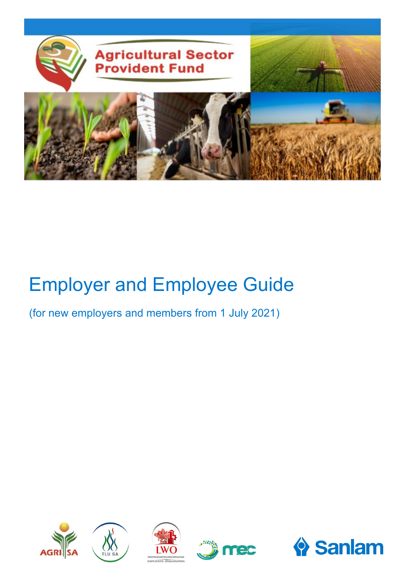

# Employer and Employee Guide

(for new employers and members from 1 July 2021)









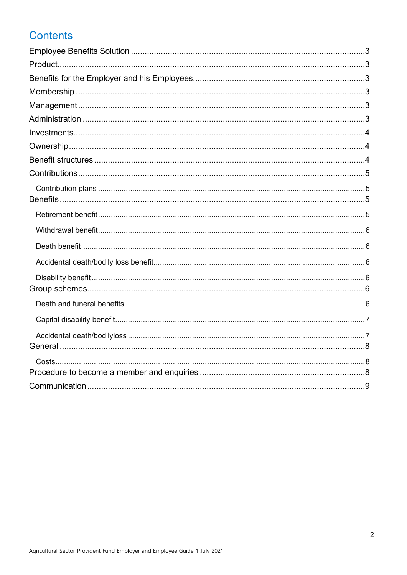# **Contents**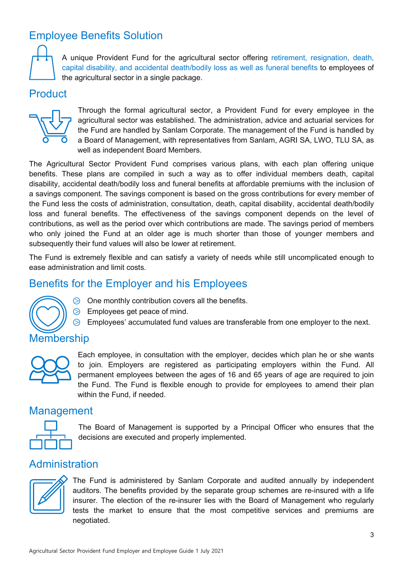# <span id="page-2-0"></span>Employee Benefits Solution



A unique Provident Fund for the agricultural sector offering retirement, resignation, death, capital disability, and accidental death/bodily loss as well as funeral benefits to employees of the agricultural sector in a single package.

## <span id="page-2-1"></span>Product



Through the formal agricultural sector, a Provident Fund for every employee in the agricultural sector was established. The administration, advice and actuarial services for the Fund are handled by Sanlam Corporate. The management of the Fund is handled by a Board of Management, with representatives from Sanlam, AGRI SA, LWO, TLU SA, as well as independent Board Members.

The Agricultural Sector Provident Fund comprises various plans, with each plan offering unique benefits. These plans are compiled in such a way as to offer individual members death, capital disability, accidental death/bodily loss and funeral benefits at affordable premiums with the inclusion of a savings component. The savings component is based on the gross contributions for every member of the Fund less the costs of administration, consultation, death, capital disability, accidental death/bodily loss and funeral benefits. The effectiveness of the savings component depends on the level of contributions, as well as the period over which contributions are made. The savings period of members who only joined the Fund at an older age is much shorter than those of younger members and subsequently their fund values will also be lower at retirement.

The Fund is extremely flexible and can satisfy a variety of needs while still uncomplicated enough to ease administration and limit costs.

# <span id="page-2-2"></span>Benefits for the Employer and his Employees



- $\odot$  One monthly contribution covers all the benefits.  $\odot$  Employees get peace of mind.
- ⧁ Employees' accumulated fund values are transferable from one employer to the next.

## <span id="page-2-3"></span>**Membership**



Each employee, in consultation with the employer, decides which plan he or she wants to join. Employers are registered as participating employers within the Fund. All permanent employees between the ages of 16 and 65 years of age are required to join the Fund. The Fund is flexible enough to provide for employees to amend their plan within the Fund, if needed.

## <span id="page-2-4"></span>**Management**



The Board of Management is supported by a Principal Officer who ensures that the decisions are executed and properly implemented.

## <span id="page-2-5"></span>Administration



The Fund is administered by Sanlam Corporate and audited annually by independent auditors. The benefits provided by the separate group schemes are re-insured with a life insurer. The election of the re-insurer lies with the Board of Management who regularly tests the market to ensure that the most competitive services and premiums are negotiated.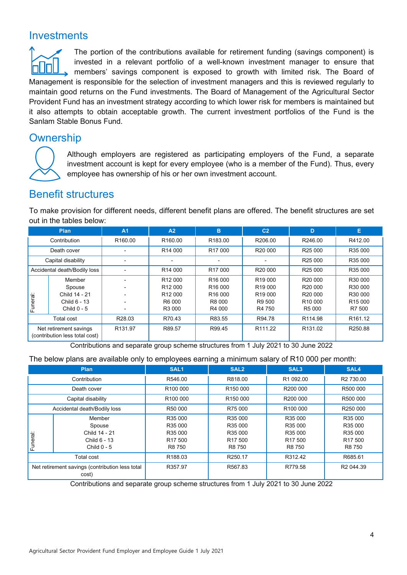# <span id="page-3-0"></span>**Investments**

The portion of the contributions available for retirement funding (savings component) is invested in a relevant portfolio of a well-known investment manager to ensure that members' savings component is exposed to growth with limited risk. The Board of Management is responsible for the selection of investment managers and this is reviewed regularly to maintain good returns on the Fund investments. The Board of Management of the Agricultural Sector Provident Fund has an investment strategy according to which lower risk for members is maintained but it also attempts to obtain acceptable growth. The current investment portfolios of the Fund is the Sanlam Stable Bonus Fund.

# <span id="page-3-1"></span>**Ownership**



Although employers are registered as participating employers of the Fund, a separate investment account is kept for every employee (who is a member of the Fund). Thus, every employee has ownership of his or her own investment account.

## <span id="page-3-2"></span>Benefit structures

To make provision for different needs, different benefit plans are offered. The benefit structures are set out in the tables below:

|                                                          | <b>Plan</b>                  | A <sub>1</sub>           | A2                  | в                   | C <sub>2</sub>      | D                   | Е                   |
|----------------------------------------------------------|------------------------------|--------------------------|---------------------|---------------------|---------------------|---------------------|---------------------|
| Contribution                                             |                              | R <sub>160.00</sub>      | R <sub>160.00</sub> | R183.00             | R206.00             | R246.00             | R412.00             |
| Death cover                                              |                              | -                        | R <sub>14</sub> 000 | R <sub>17</sub> 000 | R <sub>20</sub> 000 | R <sub>25</sub> 000 | R35 000             |
| Capital disability                                       |                              | $\overline{\phantom{0}}$ |                     |                     |                     | R <sub>25</sub> 000 | R35 000             |
|                                                          | Accidental death/Bodily loss |                          | R <sub>14</sub> 000 | R <sub>17</sub> 000 | R <sub>20</sub> 000 | R <sub>25</sub> 000 | R35 000             |
|                                                          | Member                       | $\blacksquare$           | R <sub>12</sub> 000 | R <sub>16</sub> 000 | R <sub>19</sub> 000 | R <sub>20</sub> 000 | R30 000             |
|                                                          | Spouse                       |                          | R <sub>12</sub> 000 | R <sub>16</sub> 000 | R <sub>19</sub> 000 | R <sub>20</sub> 000 | R30 000             |
|                                                          | Child 14 - 21                | $\blacksquare$           | R <sub>12</sub> 000 | R <sub>16</sub> 000 | R <sub>19</sub> 000 | R <sub>20</sub> 000 | R30 000             |
| uneral:                                                  | Child 6 - 13                 |                          | R6 000              | R8 000              | R9 500              | R <sub>10</sub> 000 | R <sub>15</sub> 000 |
| Щ                                                        | Child $0 - 5$                | $\overline{\phantom{0}}$ | R3 000              | R4 000              | R4 750              | R5 000              | R7 500              |
|                                                          | <b>Total cost</b>            | R28.03                   | R70.43              | R83.55              | R94.78              | R114.98             | R <sub>161.12</sub> |
| Net retirement savings<br>(contribution less total cost) |                              | R131.97                  | R89.57              | R99.45              | R <sub>111.22</sub> | R <sub>131.02</sub> | R250.88             |

Contributions and separate group scheme structures from 1 July 2021 to 30 June 2022

#### The below plans are available only to employees earning a minimum salary of R10 000 per month:

| <b>Plan</b>                                              |               | SAL <sub>1</sub>     | SAL <sub>2</sub>     | SAL <sub>3</sub>     | SAL4                  |
|----------------------------------------------------------|---------------|----------------------|----------------------|----------------------|-----------------------|
| Contribution                                             |               | R546.00              | R818.00              | R1 092.00            | R <sub>2</sub> 730.00 |
| Death cover                                              |               | R100 000             | R <sub>150</sub> 000 | R200 000             | R500 000              |
| Capital disability                                       |               | R <sub>100</sub> 000 | R <sub>150</sub> 000 | R200 000             | R500 000              |
| Accidental death/Bodily loss                             |               | R50 000              | R75 000              | R <sub>100</sub> 000 | R250 000              |
| Funeral:                                                 | Member        | R35 000              | R35 000              | R35 000              | R35 000               |
|                                                          | Spouse        | R35 000              | R35 000              | R35 000              | R35 000               |
|                                                          | Child 14 - 21 | R35 000              | R35 000              | R35 000              | R35 000               |
|                                                          | Child 6 - 13  | R <sub>17</sub> 500  | R <sub>17</sub> 500  | R <sub>17</sub> 500  | R <sub>17</sub> 500   |
|                                                          | Child $0 - 5$ | R8 750               | R8 750               | R8 750               | R8 750                |
| Total cost                                               |               | R <sub>188.03</sub>  | R <sub>250.17</sub>  | R312.42              | R685.61               |
| Net retirement savings (contribution less total<br>cost) |               | R357.97              | R567.83              | R779.58              | R2 044.39             |

Contributions and separate group scheme structures from 1 July 2021 to 30 June 2022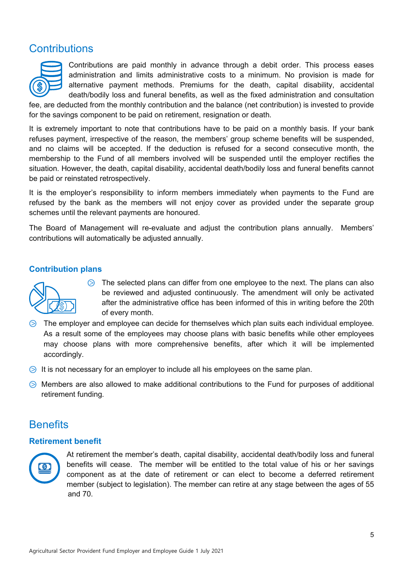# <span id="page-4-0"></span>**Contributions**



Contributions are paid monthly in advance through a debit order. This process eases administration and limits administrative costs to a minimum. No provision is made for alternative payment methods. Premiums for the death, capital disability, accidental death/bodily loss and funeral benefits, as well as the fixed administration and consultation

fee, are deducted from the monthly contribution and the balance (net contribution) is invested to provide for the savings component to be paid on retirement, resignation or death.

It is extremely important to note that contributions have to be paid on a monthly basis. If your bank refuses payment, irrespective of the reason, the members' group scheme benefits will be suspended, and no claims will be accepted. If the deduction is refused for a second consecutive month, the membership to the Fund of all members involved will be suspended until the employer rectifies the situation. However, the death, capital disability, accidental death/bodily loss and funeral benefits cannot be paid or reinstated retrospectively.

It is the employer's responsibility to inform members immediately when payments to the Fund are refused by the bank as the members will not enjoy cover as provided under the separate group schemes until the relevant payments are honoured.

The Board of Management will re-evaluate and adjust the contribution plans annually. Members' contributions will automatically be adjusted annually.

## <span id="page-4-1"></span>**Contribution plans**



 $\odot$  The selected plans can differ from one employee to the next. The plans can also be reviewed and adjusted continuously. The amendment will only be activated after the administrative office has been informed of this in writing before the 20th of every month.

- ⧁ The employer and employee can decide for themselves which plan suits each individual employee. As a result some of the employees may choose plans with basic benefits while other employees may choose plans with more comprehensive benefits, after which it will be implemented accordingly.
- $\Diamond$  It is not necessary for an employer to include all his employees on the same plan.
- ⧁ Members are also allowed to make additional contributions to the Fund for purposes of additional retirement funding.

## <span id="page-4-2"></span>**Benefits**

#### <span id="page-4-3"></span>**Retirement benefit**



At retirement the member's death, capital disability, accidental death/bodily loss and funeral benefits will cease. The member will be entitled to the total value of his or her savings component as at the date of retirement or can elect to become a deferred retirement member (subject to legislation). The member can retire at any stage between the ages of 55 and 70.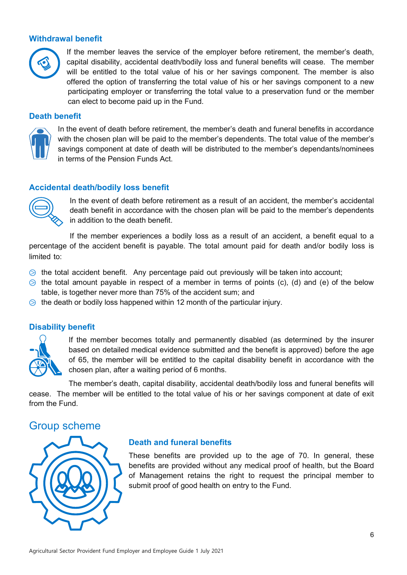## <span id="page-5-0"></span>**Withdrawal benefit**



If the member leaves the service of the employer before retirement, the member's death, capital disability, accidental death/bodily loss and funeral benefits will cease. The member will be entitled to the total value of his or her savings component. The member is also offered the option of transferring the total value of his or her savings component to a new participating employer or transferring the total value to a preservation fund or the member can elect to become paid up in the Fund.

#### <span id="page-5-1"></span>**Death benefit**



In the event of death before retirement, the member's death and funeral benefits in accordance with the chosen plan will be paid to the member's dependents. The total value of the member's savings component at date of death will be distributed to the member's dependants/nominees in terms of the Pension Funds Act.

## <span id="page-5-2"></span>**Accidental death/bodily loss benefit**



In the event of death before retirement as a result of an accident, the member's accidental death benefit in accordance with the chosen plan will be paid to the member's dependents in addition to the death benefit.

If the member experiences a bodily loss as a result of an accident, a benefit equal to a percentage of the accident benefit is payable. The total amount paid for death and/or bodily loss is limited to:

- $\Diamond$  the total accident benefit. Any percentage paid out previously will be taken into account;
- $\odot$  the total amount payable in respect of a member in terms of points (c), (d) and (e) of the below table, is together never more than 75% of the accident sum; and
- $\Diamond$  the death or bodily loss happened within 12 month of the particular injury.

#### <span id="page-5-3"></span>**Disability benefit**



If the member becomes totally and permanently disabled (as determined by the insurer based on detailed medical evidence submitted and the benefit is approved) before the age of 65, the member will be entitled to the capital disability benefit in accordance with the chosen plan, after a waiting period of 6 months.

The member's death, capital disability, accidental death/bodily loss and funeral benefits will cease. The member will be entitled to the total value of his or her savings component at date of exit from the Fund.

## <span id="page-5-4"></span>Group scheme



#### <span id="page-5-5"></span>**Death and funeral benefits**

<span id="page-5-6"></span>These benefits are provided up to the age of 70. In general, these benefits are provided without any medical proof of health, but the Board of Management retains the right to request the principal member to submit proof of good health on entry to the Fund.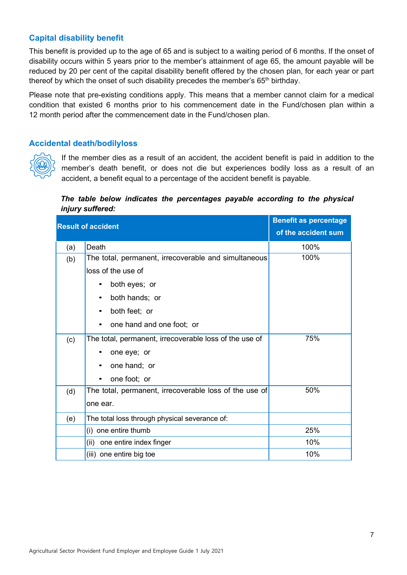## **Capital disability benefit**

This benefit is provided up to the age of 65 and is subject to a waiting period of 6 months. If the onset of disability occurs within 5 years prior to the member's attainment of age 65, the amount payable will be reduced by 20 per cent of the capital disability benefit offered by the chosen plan, for each year or part thereof by which the onset of such disability precedes the member's  $65<sup>th</sup>$  birthday.

Please note that pre-existing conditions apply. This means that a member cannot claim for a medical condition that existed 6 months prior to his commencement date in the Fund/chosen plan within a 12 month period after the commencement date in the Fund/chosen plan.

## <span id="page-6-0"></span>**Accidental death/bodilyloss**



If the member dies as a result of an accident, the accident benefit is paid in addition to the member's death benefit, or does not die but experiences bodily loss as a result of an accident, a benefit equal to a percentage of the accident benefit is payable.

## *The table below indicates the percentages payable according to the physical injury suffered:*

<span id="page-6-1"></span>

|     | <b>Result of accident</b>                              | <b>Benefit as percentage</b> |
|-----|--------------------------------------------------------|------------------------------|
|     |                                                        | of the accident sum          |
| (a) | Death                                                  | 100%                         |
| (b) | The total, permanent, irrecoverable and simultaneous   | 100%                         |
|     | loss of the use of                                     |                              |
|     | both eyes; or                                          |                              |
|     | both hands; or<br>$\bullet$                            |                              |
|     | both feet; or                                          |                              |
|     | one hand and one foot; or                              |                              |
| (c) | The total, permanent, irrecoverable loss of the use of | 75%                          |
|     | one eye; or                                            |                              |
|     | one hand; or                                           |                              |
|     | one foot; or                                           |                              |
| (d) | The total, permanent, irrecoverable loss of the use of | 50%                          |
|     | one ear.                                               |                              |
| (e) | The total loss through physical severance of:          |                              |
|     | (i) one entire thumb                                   | 25%                          |
|     | one entire index finger<br>(ii)                        | 10%                          |
|     | (iii) one entire big toe                               | 10%                          |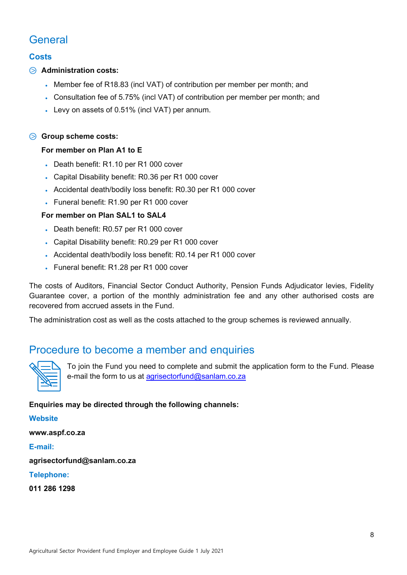# **General**

## <span id="page-7-0"></span>**Costs**

## ⧁ **Administration costs:**

- Member fee of R18.83 (incl VAT) of contribution per member per month; and
- Consultation fee of 5.75% (incl VAT) of contribution per member per month; and
- Levy on assets of 0.51% (incl VAT) per annum.

## ⧁ **Group scheme costs:**

## **For member on Plan A1 to E**

- Death benefit: R1.10 per R1 000 cover
- Capital Disability benefit: R0.36 per R1 000 cover
- Accidental death/bodily loss benefit: R0.30 per R1 000 cover
- Funeral benefit: R1.90 per R1 000 cover

## **For member on Plan SAL1 to SAL4**

- Death benefit: R0.57 per R1 000 cover
- Capital Disability benefit: R0.29 per R1 000 cover
- Accidental death/bodily loss benefit: R0.14 per R1 000 cover
- Funeral benefit: R1.28 per R1 000 cover

The costs of Auditors, Financial Sector Conduct Authority, Pension Funds Adjudicator levies, Fidelity Guarantee cover, a portion of the monthly administration fee and any other authorised costs are recovered from accrued assets in the Fund.

The administration cost as well as the costs attached to the group schemes is reviewed annually.

## <span id="page-7-1"></span>Procedure to become a member and enquiries



To join the Fund you need to complete and submit the application form to the Fund. Please e-mail the form to us at [agrisectorfund@sanlam.co.za](mailto:agrisectorfund@sanlam.co.za)

## **Enquiries may be directed through the following channels:**

#### **Website**

**www.aspf.co.za**

## **E-mail:**

**agrisectorfund@sanlam.co.za**

#### **Telephone:**

**011 286 1298**